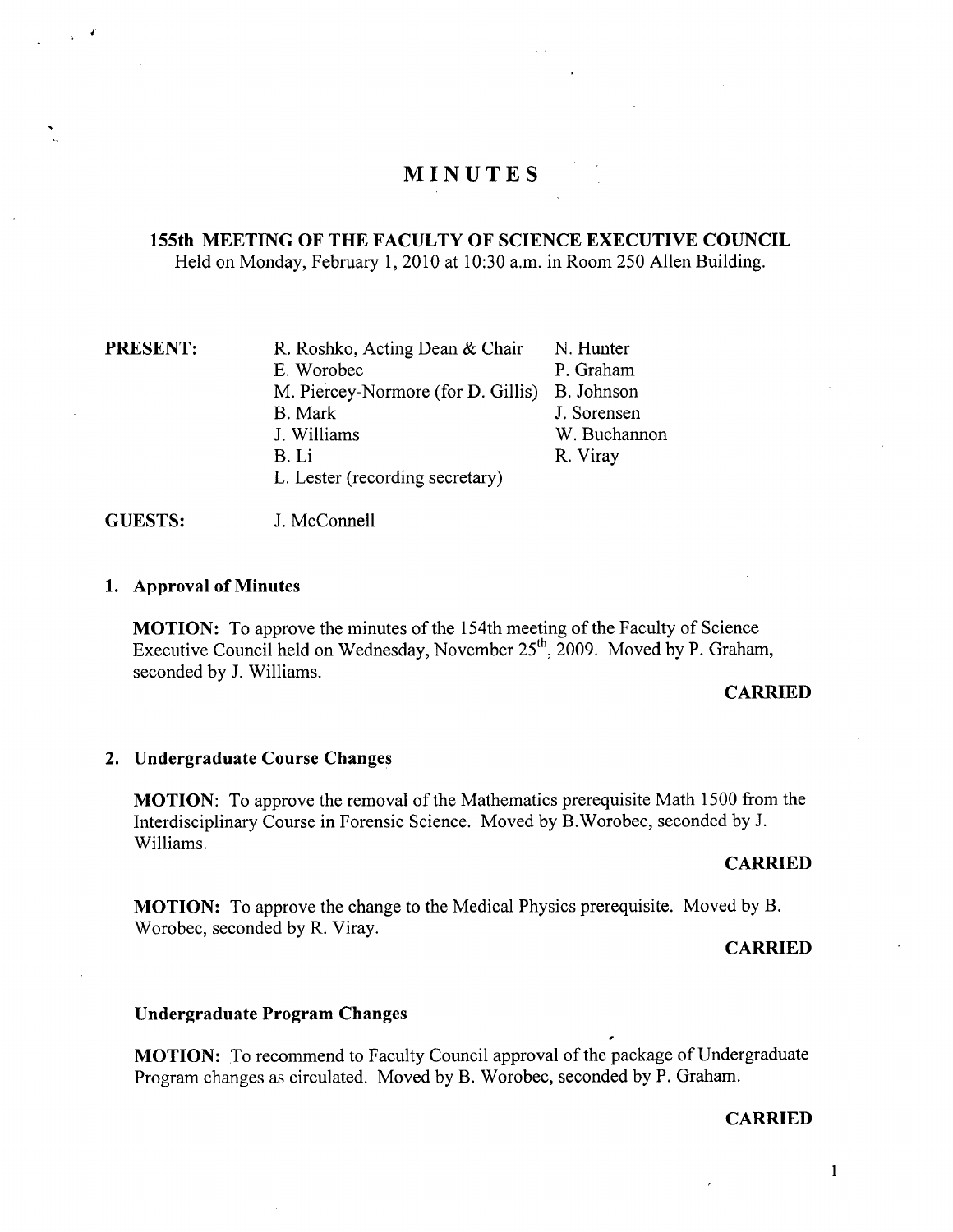# **MINUTES**

## **155th MEETING OF THE FACULTY OF SCIENCE EXECUTIVE COUNCIL**  Held on Monday, February 1, 2010 at 10:30 a.m. in Room *250* Allen Building.

**PRESENT:** R. Roshko, Acting Dean & Chair E. Worobec M. Piercey-Normore (for D. Gillis) B. Johnson B. Mark J. Williams B.Li L. Lester (recording secretary) N. Hunter P. Graham J. Sorensen W. Buchannon R. Viray

**GUESTS:** J. McConnell

## **Approval of Minutes**

**MOTION:** To approve the minutes of the 154th meeting of the Faculty of Science Executive Council held on Wednesday, November  $25<sup>th</sup>$ , 2009. Moved by P. Graham, seconded by J. Williams.

## **CARRIED**

## **Undergraduate Course Changes**

**MOTION:** To approve the removal of the Mathematics prerequisite Math 1500 from the Interdisciplinary Course in Forensic Science. Moved by B.Worobec, seconded by J. Williams.

#### **CARRIED**

**MOTION:** To approve the change to the Medical Physics prerequisite. Moved by B. Worobec, seconded by R. Viray.

#### **CARRIED**

#### **Undergraduate Program Changes**

**MOTION:** To recommend to Faculty Council approval of the package of Undergraduate Program changes as circulated. Moved by B. Worobec, seconded by P. Graham.

#### **CARRIED**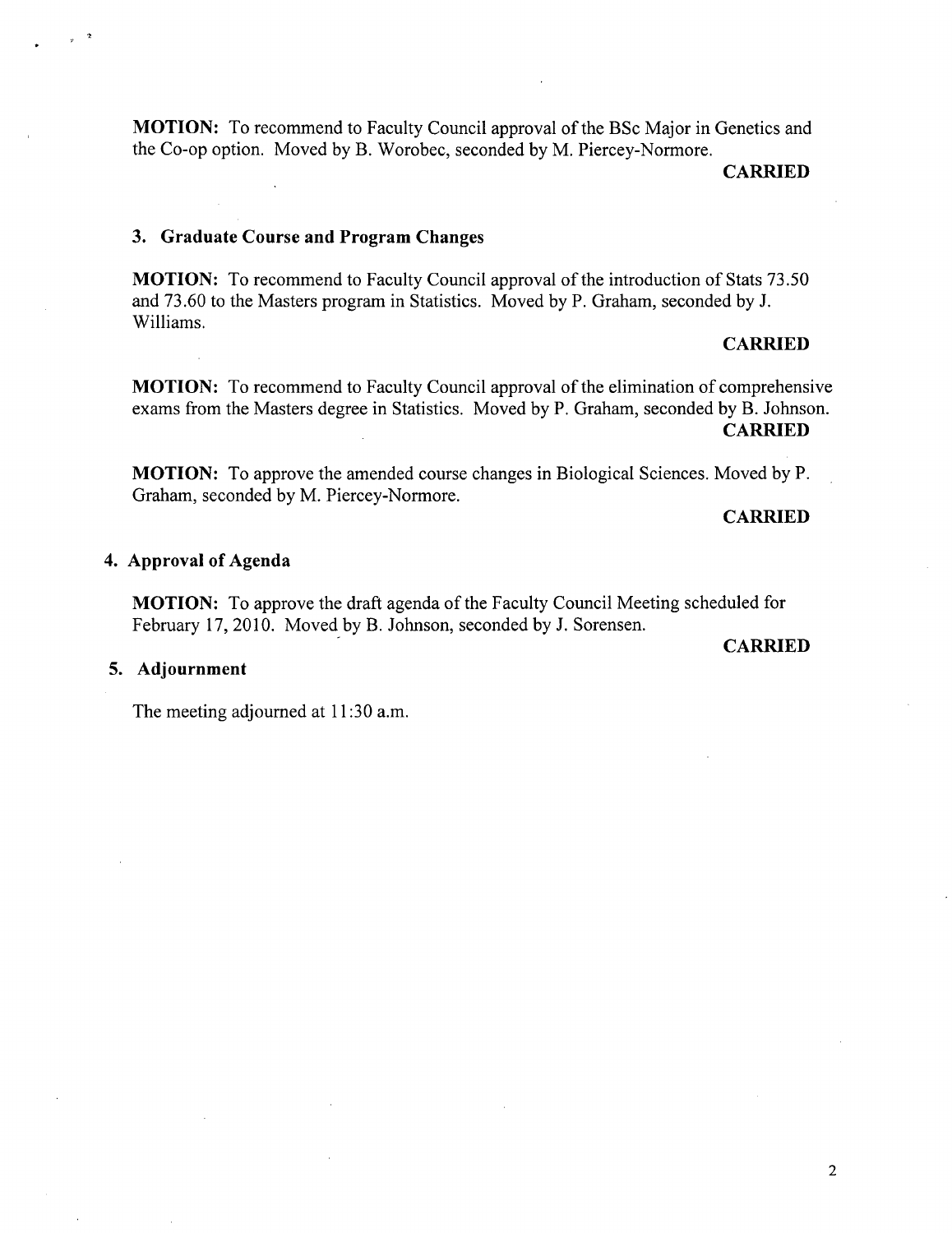**MOTION:** To recommend to Faculty Council approval of the BSc Major in Genetics and the Co-op option. Moved by B. Worobec, seconded by M. Piercey-Normore.

**CARRIED** 

## **3. Graduate Course and Program Changes**

**MOTION:** To recommend to Faculty Council approval of the introduction of Stats *73.50*  and 73.60 to the Masters program in Statistics. Moved by P. Graham, seconded by J. Williams.

### **CARRIED**

**MOTION:** To recommend to Faculty Council approval of the elimination of comprehensive exams from the Masters degree in Statistics. Moved by P. Graham, seconded by B. Johnson. **CARRIED** 

**MOTION:** To approve the amended course changes in Biological Sciences. Moved by P. Graham, seconded by M. Piercey-Normore.

## **CARRIED**

## **Approval of Agenda**

**MOTION:** To approve the draft agenda of the Faculty Council Meeting scheduled for February 17, 2010. Moved by B. Johnson, seconded by J. Sorensen.

## **CARRIED**

## **Adjournment**

The meeting adjourned at 11:30 a.m.